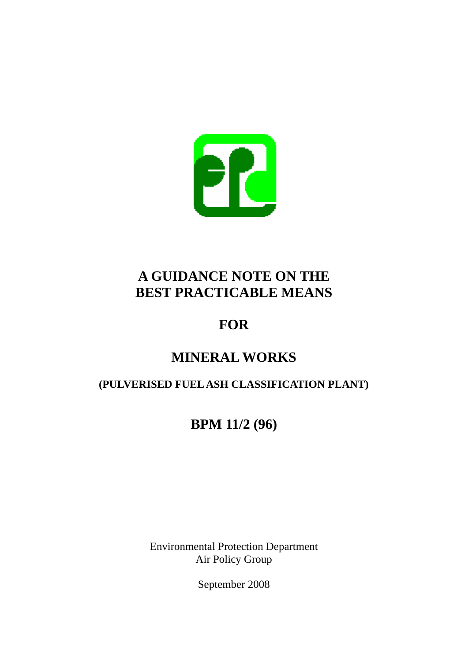

# **A GUIDANCE NOTE ON THE BEST PRACTICABLE MEANS**

# **FOR**

# **MINERAL WORKS**

### **(PULVERISED FUEL ASH CLASSIFICATION PLANT)**

# **BPM 11/2 (96)**

Environmental Protection Department Air Policy Group

September 2008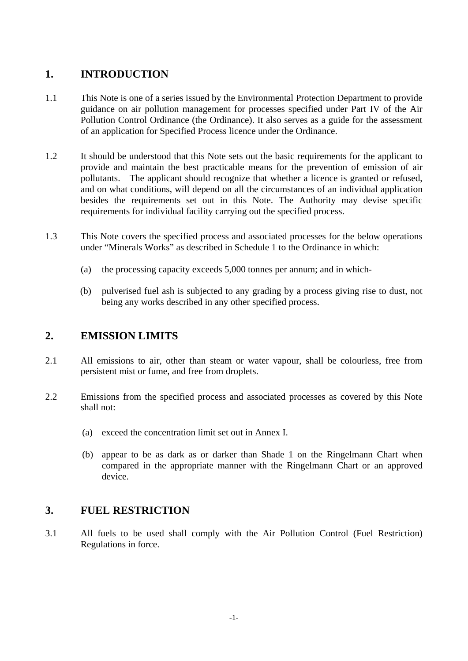#### **1. INTRODUCTION**

- 1.1 This Note is one of a series issued by the Environmental Protection Department to provide guidance on air pollution management for processes specified under Part IV of the Air Pollution Control Ordinance (the Ordinance). It also serves as a guide for the assessment of an application for Specified Process licence under the Ordinance.
- 1.2 It should be understood that this Note sets out the basic requirements for the applicant to provide and maintain the best practicable means for the prevention of emission of air pollutants. The applicant should recognize that whether a licence is granted or refused, and on what conditions, will depend on all the circumstances of an individual application besides the requirements set out in this Note. The Authority may devise specific requirements for individual facility carrying out the specified process.
- 1.3 This Note covers the specified process and associated processes for the below operations under "Minerals Works" as described in Schedule 1 to the Ordinance in which:
	- (a) the processing capacity exceeds 5,000 tonnes per annum; and in which-
	- (b) pulverised fuel ash is subjected to any grading by a process giving rise to dust, not being any works described in any other specified process.

#### **2. EMISSION LIMITS**

- 2.1 All emissions to air, other than steam or water vapour, shall be colourless, free from persistent mist or fume, and free from droplets.
- 2.2 Emissions from the specified process and associated processes as covered by this Note shall not:
	- (a) exceed the concentration limit set out in Annex I.
	- (b) appear to be as dark as or darker than Shade 1 on the Ringelmann Chart when compared in the appropriate manner with the Ringelmann Chart or an approved device.

#### **3. FUEL RESTRICTION**

3.1 All fuels to be used shall comply with the Air Pollution Control (Fuel Restriction) Regulations in force.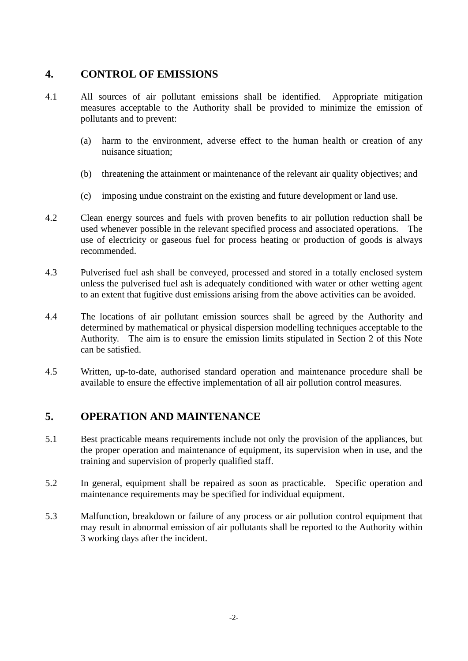#### **4. CONTROL OF EMISSIONS**

- 4.1 All sources of air pollutant emissions shall be identified. Appropriate mitigation measures acceptable to the Authority shall be provided to minimize the emission of pollutants and to prevent:
	- (a) harm to the environment, adverse effect to the human health or creation of any nuisance situation;
	- (b) threatening the attainment or maintenance of the relevant air quality objectives; and
	- (c) imposing undue constraint on the existing and future development or land use.
- 4.2 Clean energy sources and fuels with proven benefits to air pollution reduction shall be used whenever possible in the relevant specified process and associated operations. The use of electricity or gaseous fuel for process heating or production of goods is always recommended.
- 4.3 Pulverised fuel ash shall be conveyed, processed and stored in a totally enclosed system unless the pulverised fuel ash is adequately conditioned with water or other wetting agent to an extent that fugitive dust emissions arising from the above activities can be avoided.
- 4.4 The locations of air pollutant emission sources shall be agreed by the Authority and determined by mathematical or physical dispersion modelling techniques acceptable to the Authority. The aim is to ensure the emission limits stipulated in Section 2 of this Note can be satisfied.
- 4.5 Written, up-to-date, authorised standard operation and maintenance procedure shall be available to ensure the effective implementation of all air pollution control measures.

#### **5. OPERATION AND MAINTENANCE**

- 5.1 Best practicable means requirements include not only the provision of the appliances, but the proper operation and maintenance of equipment, its supervision when in use, and the training and supervision of properly qualified staff.
- 5.2 In general, equipment shall be repaired as soon as practicable. Specific operation and maintenance requirements may be specified for individual equipment.
- 5.3 Malfunction, breakdown or failure of any process or air pollution control equipment that may result in abnormal emission of air pollutants shall be reported to the Authority within 3 working days after the incident.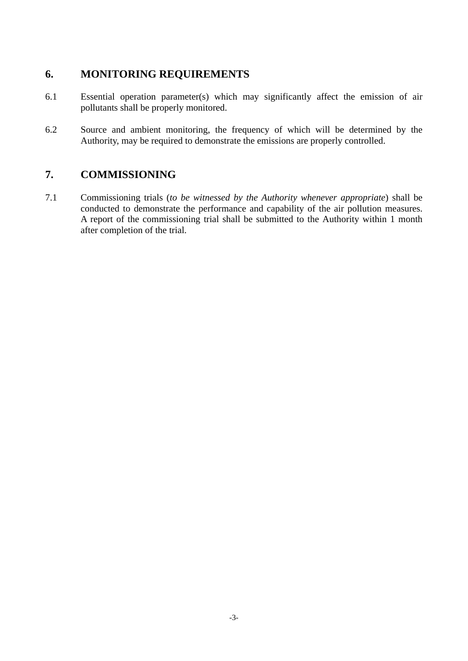#### **6. MONITORING REQUIREMENTS**

- 6.1 Essential operation parameter(s) which may significantly affect the emission of air pollutants shall be properly monitored.
- 6.2 Source and ambient monitoring, the frequency of which will be determined by the Authority, may be required to demonstrate the emissions are properly controlled.

#### **7. COMMISSIONING**

conducted to demonstrate the performance and capability of the air pollution measures. 7.1 Commissioning trials (*to be witnessed by the Authority whenever appropriate*) shall be A report of the commissioning trial shall be submitted to the Authority within 1 month after completion of the trial.